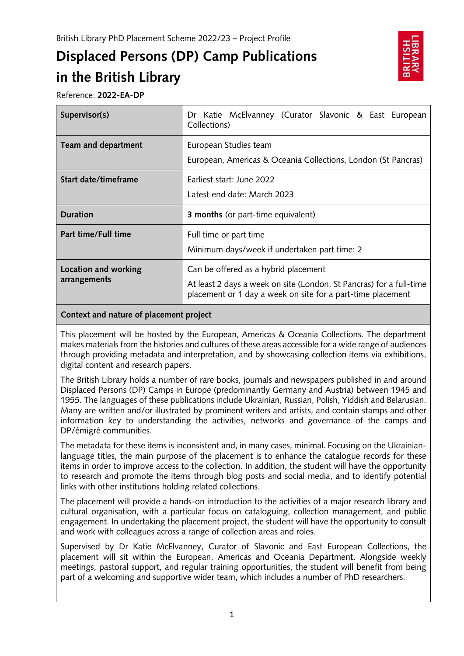# **Displaced Persons (DP) Camp Publications in the British Library**



Reference: **2022-EA-DP**

| Supervisor(s)        | Dr Katie McElvanney (Curator Slavonic & East European<br>Collections)                  |
|----------------------|----------------------------------------------------------------------------------------|
| Team and department  | European Studies team<br>European, Americas & Oceania Collections, London (St Pancras) |
| Start date/timeframe | Earliest start: June 2022<br>Latest end date: March 2023                               |
|                      |                                                                                        |
| <b>Duration</b>      | <b>3 months</b> (or part-time equivalent)                                              |
| Part time/Full time  | Full time or part time<br>Minimum days/week if undertaken part time: 2                 |

## **Context and nature of placement project**

This placement will be hosted by the European, Americas & Oceania Collections. The department makes materials from the histories and cultures of these areas accessible for a wide range of audiences through providing metadata and interpretation, and by showcasing collection items via exhibitions, digital content and research papers.

The British Library holds a number of rare books, journals and newspapers published in and around Displaced Persons (DP) Camps in Europe (predominantly Germany and Austria) between 1945 and 1955. The languages of these publications include Ukrainian, Russian, Polish, Yiddish and Belarusian. Many are written and/or illustrated by prominent writers and artists, and contain stamps and other information key to understanding the activities, networks and governance of the camps and DP/émigré communities.

The metadata for these items is inconsistent and, in many cases, minimal. Focusing on the Ukrainianlanguage titles, the main purpose of the placement is to enhance the catalogue records for these items in order to improve access to the collection. In addition, the student will have the opportunity to research and promote the items through blog posts and social media, and to identify potential links with other institutions holding related collections.

The placement will provide a hands-on introduction to the activities of a major research library and cultural organisation, with a particular focus on cataloguing, collection management, and public engagement. In undertaking the placement project, the student will have the opportunity to consult and work with colleagues across a range of collection areas and roles.

Supervised by Dr Katie McElvanney, Curator of Slavonic and East European Collections, the placement will sit within the European, Americas and Oceania Department. Alongside weekly meetings, pastoral support, and regular training opportunities, the student will benefit from being part of a welcoming and supportive wider team, which includes a number of PhD researchers.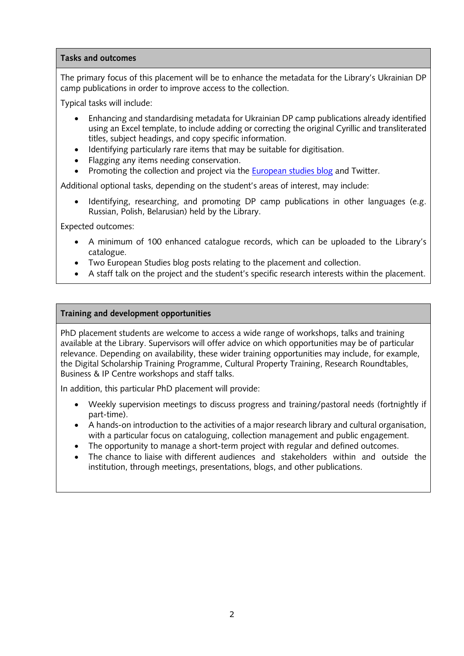#### **Tasks and outcomes**

The primary focus of this placement will be to enhance the metadata for the Library's Ukrainian DP camp publications in order to improve access to the collection.

Typical tasks will include:

- Enhancing and standardising metadata for Ukrainian DP camp publications already identified using an Excel template, to include adding or correcting the original Cyrillic and transliterated titles, subject headings, and copy specific information.
- Identifying particularly rare items that may be suitable for digitisation.
- Flagging any items needing conservation.
- Promoting the collection and project via the **European studies blog** and Twitter.

Additional optional tasks, depending on the student's areas of interest, may include:

• Identifying, researching, and promoting DP camp publications in other languages (e.g. Russian, Polish, Belarusian) held by the Library.

Expected outcomes:

- A minimum of 100 enhanced catalogue records, which can be uploaded to the Library's catalogue.
- Two European Studies blog posts relating to the placement and collection.
- A staff talk on the project and the student's specific research interests within the placement.

## **Training and development opportunities**

PhD placement students are welcome to access a wide range of workshops, talks and training available at the Library. Supervisors will offer advice on which opportunities may be of particular relevance. Depending on availability, these wider training opportunities may include, for example, the Digital Scholarship Training Programme, Cultural Property Training, Research Roundtables, Business & IP Centre workshops and staff talks.

In addition, this particular PhD placement will provide:

- Weekly supervision meetings to discuss progress and training/pastoral needs (fortnightly if part-time).
- A hands-on introduction to the activities of a major research library and cultural organisation, with a particular focus on cataloguing, collection management and public engagement.
- The opportunity to manage a short-term project with regular and defined outcomes.
- The chance to liaise with different audiences and stakeholders within and outside the institution, through meetings, presentations, blogs, and other publications.